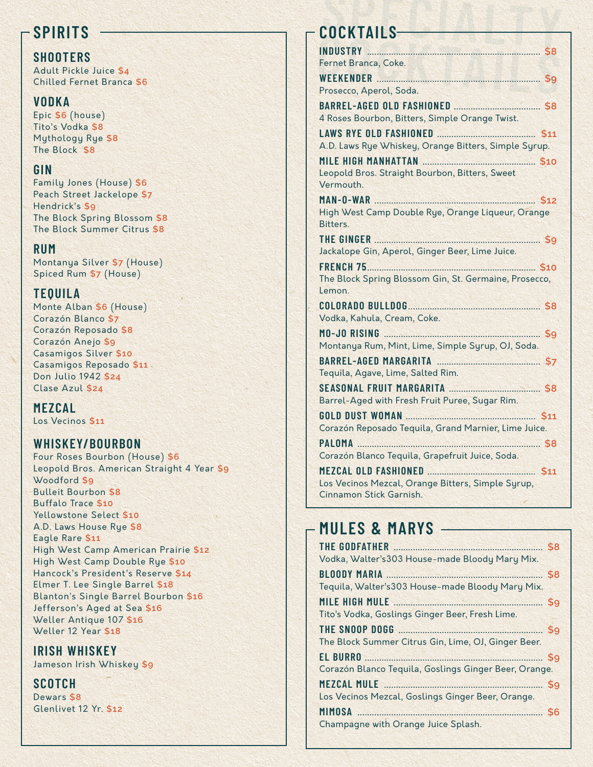## **SPIRITS**

### **SHOOTERS**

Adult Pickle Juice \$4 Chilled Fernet Branca \$6

### **VODKA**

Epic \$6 (house) Tito's Vodka \$8 Mythology Rye \$8 The Block \$8

### GIN

Family Jones (House) \$6 Peach Street Jackelope \$7 Hendrick's \$9 The Block Spring Blossom \$8 The Block Summer Citrus \$8

### **RUM**

Montanya Silver \$7 (House) Spiced Rum \$7 (House)

### **TEOUILA**

Monte Alban \$6 (House) Corazón Blanco \$7 Corazón Reposado \$8 Corazón Anejo \$9 Casamigos Silver \$10 Casamigos Reposado \$11 Don Julio 1942 \$24 Clase Azul \$24

MEZCAL Los Vecinos \$11

## **WHISKEY/BOURBON**

Four Roses Bourbon (House) \$6 Leopold Bros. American Straight 4 Year \$9 Woodford \$9 **Bulleit Bourbon \$8** Buffalo Trace \$10 Yellowstone Select \$10 A.D. Laws House Rue \$8 Eagle Rare \$11 High West Camp American Prairie \$12 High West Camp Double Rue \$10 Hancock's President's Reserve \$14 Elmer T. Lee Single Barrel \$18 Blanton's Single Barrel Bourbon \$16 Jefferson's Aged at Sea \$16 Weller Antique 107 \$16 Weller 12 Year \$18

## **IRISH WHISKEY**

Jameson Irish Whiskey \$9

### **SCOTCH**

Dewars \$8 Glenlivet 12 Yr. \$12

## COCKTAILS-

| INDUSTRY 58                                                                  |
|------------------------------------------------------------------------------|
| Fernet Branca, Coke.                                                         |
|                                                                              |
| Prosecco, Aperol, Soda.                                                      |
|                                                                              |
| 4 Roses Bourbon, Bitters, Simple Orange Twist.                               |
|                                                                              |
| A.D. Laws Rye Whiskey, Orange Bitters, Simple Syrup.                         |
|                                                                              |
| Leopold Bros. Straight Bourbon, Bitters, Sweet                               |
| Vermouth.                                                                    |
|                                                                              |
| High West Camp Double Rye, Orange Liqueur, Orange                            |
| Bitters.                                                                     |
|                                                                              |
| Jackalope Gin, Aperol, Ginger Beer, Lime Juice.                              |
| \$10<br><b>FRENCH 75</b>                                                     |
| The Block Spring Blossom Gin, St. Germaine, Prosecco,                        |
| Lemon.                                                                       |
|                                                                              |
|                                                                              |
| Vodka, Kahula, Cream, Coke.                                                  |
| MO-JO RISING 59                                                              |
| Montanya Rum, Mint, Lime, Simple Syrup, OJ, Soda.                            |
|                                                                              |
| Tequila, Agave, Lime, Salted Rim.                                            |
|                                                                              |
| Barrel-Aged with Fresh Fruit Puree, Sugar Rim.                               |
|                                                                              |
|                                                                              |
| Corazón Reposado Tequila, Grand Marnier, Lime Juice.                         |
| PALOMA 58                                                                    |
| Corazón Blanco Tequila, Grapefruit Juice, Soda.                              |
|                                                                              |
| Los Vecinos Mezcal, Orange Bitters, Simple Syrup,<br>Cinnamon Stick Garnish. |

## - MULES & MARYS

| THE GODFATHER <b>MANUAL SERVICES</b>                  |  |
|-------------------------------------------------------|--|
| Vodka, Walter's 303 House-made Bloody Mary Mix.       |  |
| BLOODY MARIA S8                                       |  |
| Tequila, Walter's 303 House-made Bloody Mary Mix.     |  |
| MILE HIGH MULE <b>MILLE</b> 59                        |  |
| Tito's Vodka, Goslings Ginger Beer, Fresh Lime.       |  |
|                                                       |  |
| The Block Summer Citrus Gin, Lime, OJ, Ginger Beer.   |  |
|                                                       |  |
| Corazón Blanco Tequila, Goslings Ginger Beer, Orange. |  |
| MEZCAL MULE 39                                        |  |
| Los Vecinos Mezcal, Goslings Ginger Beer, Orange.     |  |
| MIMOSA 56                                             |  |
| Champagne with Orange Juice Splash.                   |  |